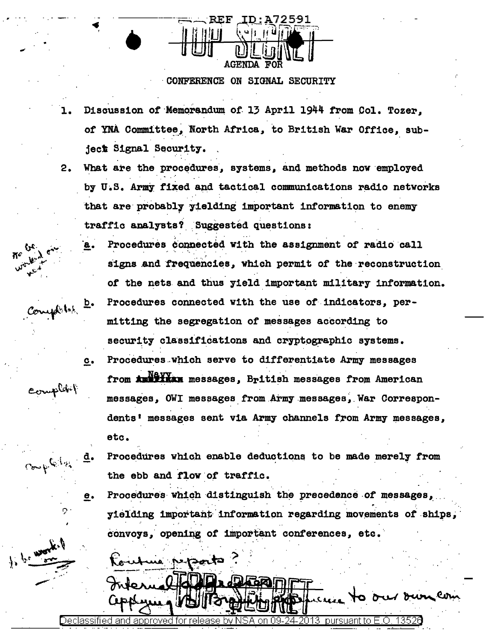

## CONFERENCE ON SIGNAL SECURITY

- Discussion of Memorandum of 13 April 1944 from Col. Tozer. ı. of YNA Committee, North Africa, to British War Office, subject Signal Security.
- $2.$ What are the procedures, systems, and methods now employed by U.S. Army fixed and tactical communications radio networks that are probably yielding important information to enemy traffic analysts? Suggested questions:
	- Procedures connected with the assignment of radio call signs and frequencies, which permit of the reconstruction of the nets and thus yield important military information. Procedures connected with the use of indicators, per- $\bar{p}$ . mitting the segregation of messages according to security classifications and cryptographic systems. Procedures which serve to differentiate Army messages  $c_{\bullet}$ from **Austran** messages, British messages from American messages, OWI messages from Army messages, War Correspondents' messages sent via Army channels from Army messages, etc.

Procedures which enable deductions to be made merely from the ebb and flow of traffic.

Procedures which distinguish the precedence of messages, е. yielding important information regarding movements of ships, convoys, opening of important conferences, etc.

ne peporto

Completes

omplet {

 $C_{\sigma\rightarrow\gamma}$  be the

Declassified and approved for